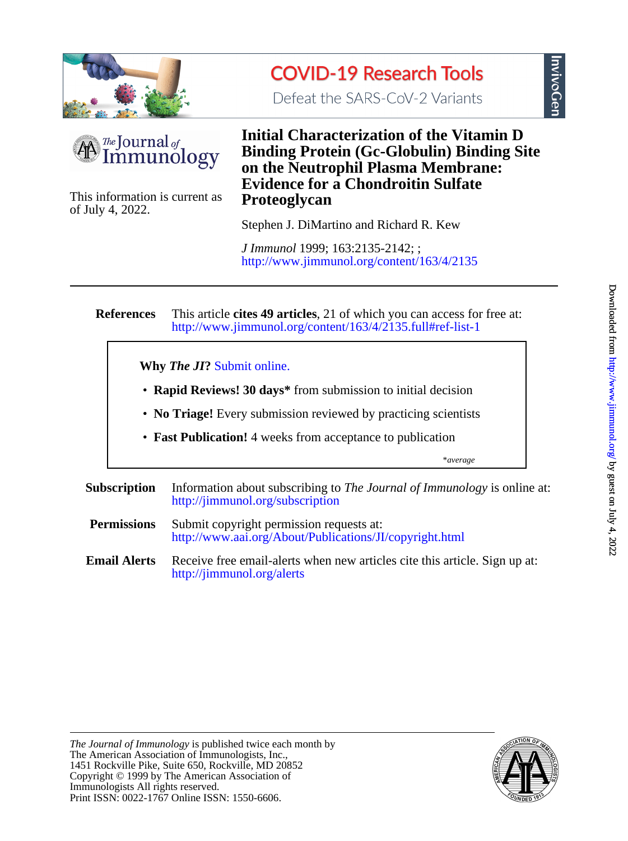





of July 4, 2022. This information is current as **Proteoglycan**

# **Evidence for a Chondroitin Sulfate on the Neutrophil Plasma Membrane: Binding Protein (Gc-Globulin) Binding Site Initial Characterization of the Vitamin D**

Stephen J. DiMartino and Richard R. Kew

<http://www.jimmunol.org/content/163/4/2135> *J Immunol* 1999; 163:2135-2142; ;

#### **References** <http://www.jimmunol.org/content/163/4/2135.full#ref-list-1> This article **cites 49 articles**, 21 of which you can access for free at:

**Why** *The JI***?** [Submit online.](https://ji.msubmit.net)

- **Rapid Reviews! 30 days\*** from submission to initial decision
- **No Triage!** Every submission reviewed by practicing scientists
- **Fast Publication!** 4 weeks from acceptance to publication

\**average*

- **Subscription** <http://jimmunol.org/subscription> Information about subscribing to *The Journal of Immunology* is online at: **Permissions** <http://www.aai.org/About/Publications/JI/copyright.html> Submit copyright permission requests at:
- **Email Alerts** <http://jimmunol.org/alerts> Receive free email-alerts when new articles cite this article. Sign up at:

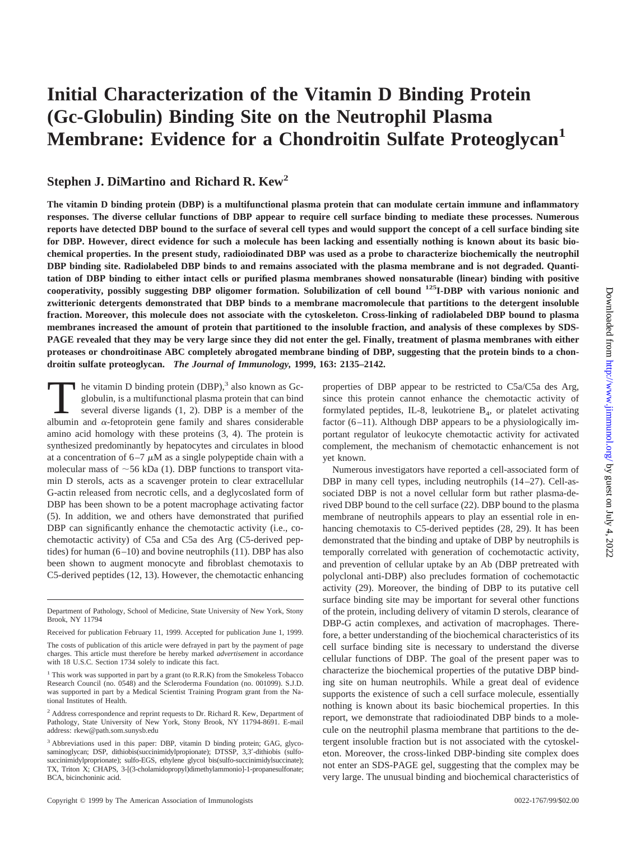# **Initial Characterization of the Vitamin D Binding Protein (Gc-Globulin) Binding Site on the Neutrophil Plasma Membrane: Evidence for a Chondroitin Sulfate Proteoglycan**

# **Stephen J. DiMartino and Richard R. Kew<sup>2</sup>**

**The vitamin D binding protein (DBP) is a multifunctional plasma protein that can modulate certain immune and inflammatory responses. The diverse cellular functions of DBP appear to require cell surface binding to mediate these processes. Numerous reports have detected DBP bound to the surface of several cell types and would support the concept of a cell surface binding site for DBP. However, direct evidence for such a molecule has been lacking and essentially nothing is known about its basic biochemical properties. In the present study, radioiodinated DBP was used as a probe to characterize biochemically the neutrophil DBP binding site. Radiolabeled DBP binds to and remains associated with the plasma membrane and is not degraded. Quantitation of DBP binding to either intact cells or purified plasma membranes showed nonsaturable (linear) binding with positive cooperativity, possibly suggesting DBP oligomer formation. Solubilization of cell bound 125I-DBP with various nonionic and zwitterionic detergents demonstrated that DBP binds to a membrane macromolecule that partitions to the detergent insoluble fraction. Moreover, this molecule does not associate with the cytoskeleton. Cross-linking of radiolabeled DBP bound to plasma membranes increased the amount of protein that partitioned to the insoluble fraction, and analysis of these complexes by SDS-PAGE revealed that they may be very large since they did not enter the gel. Finally, treatment of plasma membranes with either proteases or chondroitinase ABC completely abrogated membrane binding of DBP, suggesting that the protein binds to a chondroitin sulfate proteoglycan.** *The Journal of Immunology,* **1999, 163: 2135–2142.**

**The vitamin D binding protein (DBP)**,<sup>3</sup> also known as Gc-<br>globulin, is a multifunctional plasma protein that can bind<br>several diverse ligands (1, 2). DBP is a member of the<br>albumin and  $\alpha$ -fetonrotein gene family and s globulin, is a multifunctional plasma protein that can bind albumin and  $\alpha$ -fetoprotein gene family and shares considerable amino acid homology with these proteins (3, 4). The protein is synthesized predominantly by hepatocytes and circulates in blood at a concentration of  $6-7 \mu M$  as a single polypeptide chain with a molecular mass of  $\sim$  56 kDa (1). DBP functions to transport vitamin D sterols, acts as a scavenger protein to clear extracellular G-actin released from necrotic cells, and a deglycoslated form of DBP has been shown to be a potent macrophage activating factor (5). In addition, we and others have demonstrated that purified DBP can significantly enhance the chemotactic activity (i.e., cochemotactic activity) of C5a and C5a des Arg (C5-derived peptides) for human (6–10) and bovine neutrophils (11). DBP has also been shown to augment monocyte and fibroblast chemotaxis to C5-derived peptides (12, 13). However, the chemotactic enhancing

Downloaded from [http://www.jimmunol.or](http://www.jimmunol.org/)g/ by guest on July 4, 2022 Downloaded from http://www.jimmunol.org/ by guest on July 4, 2022

properties of DBP appear to be restricted to C5a/C5a des Arg, since this protein cannot enhance the chemotactic activity of formylated peptides, IL-8, leukotriene  $B<sub>4</sub>$ , or platelet activating factor (6–11). Although DBP appears to be a physiologically important regulator of leukocyte chemotactic activity for activated complement, the mechanism of chemotactic enhancement is not yet known.

Numerous investigators have reported a cell-associated form of DBP in many cell types, including neutrophils (14–27). Cell-associated DBP is not a novel cellular form but rather plasma-derived DBP bound to the cell surface (22). DBP bound to the plasma membrane of neutrophils appears to play an essential role in enhancing chemotaxis to C5-derived peptides (28, 29). It has been demonstrated that the binding and uptake of DBP by neutrophils is temporally correlated with generation of cochemotactic activity, and prevention of cellular uptake by an Ab (DBP pretreated with polyclonal anti-DBP) also precludes formation of cochemotactic activity (29). Moreover, the binding of DBP to its putative cell surface binding site may be important for several other functions of the protein, including delivery of vitamin D sterols, clearance of DBP-G actin complexes, and activation of macrophages. Therefore, a better understanding of the biochemical characteristics of its cell surface binding site is necessary to understand the diverse cellular functions of DBP. The goal of the present paper was to characterize the biochemical properties of the putative DBP binding site on human neutrophils. While a great deal of evidence supports the existence of such a cell surface molecule, essentially nothing is known about its basic biochemical properties. In this report, we demonstrate that radioiodinated DBP binds to a molecule on the neutrophil plasma membrane that partitions to the detergent insoluble fraction but is not associated with the cytoskeleton. Moreover, the cross-linked DBP-binding site complex does not enter an SDS-PAGE gel, suggesting that the complex may be very large. The unusual binding and biochemical characteristics of

Department of Pathology, School of Medicine, State University of New York, Stony Brook, NY 11794

Received for publication February 11, 1999. Accepted for publication June 1, 1999.

The costs of publication of this article were defrayed in part by the payment of page charges. This article must therefore be hereby marked *advertisement* in accordance with 18 U.S.C. Section 1734 solely to indicate this fact.

<sup>&</sup>lt;sup>1</sup> This work was supported in part by a grant (to R.R.K) from the Smokeless Tobacco Research Council (no. 0548) and the Scleroderma Foundation (no. 001099). S.J.D. was supported in part by a Medical Scientist Training Program grant from the National Institutes of Health.

<sup>&</sup>lt;sup>2</sup> Address correspondence and reprint requests to Dr. Richard R. Kew, Department of Pathology, State University of New York, Stony Brook, NY 11794-8691. E-mail address: rkew@path.som.sunysb.edu

<sup>3</sup> Abbreviations used in this paper: DBP, vitamin D binding protein; GAG, glycosaminoglycan; DSP, dithiobis(succinimidylpropionate); DTSSP, 3,3'-dithiobis (sulfosuccinimidylproprionate); sulfo-EGS, ethylene glycol bis(sulfo-succinimidylsuccinate); TX, Triton X; CHAPS, 3-[(3-cholamidopropyl)dimethylammonio]-1-propanesulfonate; BCA, bicinchoninic acid.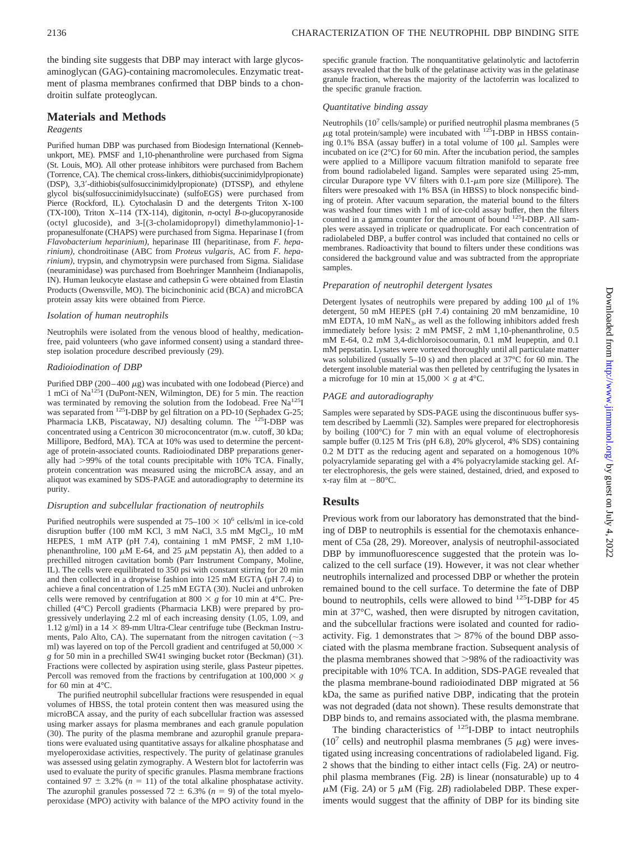the binding site suggests that DBP may interact with large glycosaminoglycan (GAG)-containing macromolecules. Enzymatic treatment of plasma membranes confirmed that DBP binds to a chondroitin sulfate proteoglycan.

### **Materials and Methods**

#### *Reagents*

Purified human DBP was purchased from Biodesign International (Kennebunkport, ME). PMSF and 1,10-phenanthroline were purchased from Sigma (St. Louis, MO). All other protease inhibitors were purchased from Bachem (Torrence, CA). The chemical cross-linkers, dithiobis(succinimidylpropionate) (DSP), 3,3'-dithiobis(sulfosuccinimidylpropionate) (DTSSP), and ethylene glycol bis(sulfosuccinimidylsuccinate) (sulfoEGS) were purchased from Pierce (Rockford, IL). Cytochalasin D and the detergents Triton X-100 (TX-100), Triton X–114 (TX-114), digitonin, *n*-octyl *B*-D-glucopyranoside (octyl glucoside), and 3-[(3-cholamidopropyl) dimethylammonio]-1 propanesulfonate (CHAPS) were purchased from Sigma. Heparinase I (from *Flavobacterium heparinium)*, heparinase III (heparitinase, from *F. heparinium)*, chondroitinase (ABC from *Proteus vulgaris*, AC from *F. heparinium)*, trypsin, and chymotrypsin were purchased from Sigma. Sialidase (neuraminidase) was purchased from Boehringer Mannheim (Indianapolis, IN). Human leukocyte elastase and cathepsin G were obtained from Elastin Products (Owensville, MO). The bicinchoninic acid (BCA) and microBCA protein assay kits were obtained from Pierce.

#### *Isolation of human neutrophils*

Neutrophils were isolated from the venous blood of healthy, medicationfree, paid volunteers (who gave informed consent) using a standard threestep isolation procedure described previously (29).

#### *Radioiodination of DBP*

Purified DBP (200–400  $\mu$ g) was incubated with one Iodobead (Pierce) and 1 mCi of Na125I (DuPont-NEN, Wilmington, DE) for 5 min. The reaction was terminated by removing the solution from the Iodobead. Free  $Na<sup>125</sup>I$ was separated from <sup>125</sup>I-DBP by gel filtration on a PD-10 (Sephadex G-25; Pharmacia LKB, Piscataway, NJ) desalting column. The 125I-DBP was concentrated using a Centricon 30 microconcentrator (m.w. cutoff, 30 kDa; Millipore, Bedford, MA). TCA at 10% was used to determine the percentage of protein-associated counts. Radioiodinated DBP preparations generally had  $>99\%$  of the total counts precipitable with  $10\%$  TCA. Finally, protein concentration was measured using the microBCA assay, and an aliquot was examined by SDS-PAGE and autoradiography to determine its purity.

#### *Disruption and subcellular fractionation of neutrophils*

Purified neutrophils were suspended at  $75-100 \times 10^6$  cells/ml in ice-cold disruption buffer (100 mM KCl, 3 mM NaCl, 3.5 mM  $MgCl<sub>2</sub>$ , 10 mM HEPES, 1 mM ATP (pH 7.4), containing 1 mM PMSF, 2 mM 1,10 phenanthroline, 100  $\mu$ M E-64, and 25  $\mu$ M pepstatin A), then added to a prechilled nitrogen cavitation bomb (Parr Instrument Company, Moline, IL). The cells were equilibrated to 350 psi with constant stirring for 20 min and then collected in a dropwise fashion into 125 mM EGTA (pH 7.4) to achieve a final concentration of 1.25 mM EGTA (30). Nuclei and unbroken cells were removed by centrifugation at 800  $\times$  g for 10 min at 4<sup>o</sup>C. Prechilled (4°C) Percoll gradients (Pharmacia LKB) were prepared by progressively underlaying 2.2 ml of each increasing density (1.05, 1.09, and 1.12 g/ml) in a  $14 \times 89$ -mm Ultra-Clear centrifuge tube (Beckman Instruments, Palo Alto, CA). The supernatant from the nitrogen cavitation ( $\sim$ 3 ml) was layered on top of the Percoll gradient and centrifuged at 50,000  $\times$ *g* for 50 min in a prechilled SW41 swinging bucket rotor (Beckman) (31). Fractions were collected by aspiration using sterile, glass Pasteur pipettes. Percoll was removed from the fractions by centrifugation at  $100,000 \times g$ for 60 min at  $4^{\circ}$ C.

The purified neutrophil subcellular fractions were resuspended in equal volumes of HBSS, the total protein content then was measured using the microBCA assay, and the purity of each subcellular fraction was assessed using marker assays for plasma membranes and each granule population (30). The purity of the plasma membrane and azurophil granule preparations were evaluated using quantitative assays for alkaline phosphatase and myeloperoxidase activities, respectively. The purity of gelatinase granules was assessed using gelatin zymography. A Western blot for lactoferrin was used to evaluate the purity of specific granules. Plasma membrane fractions contained 97  $\pm$  3.2% ( $n = 11$ ) of the total alkaline phosphatase activity. The azurophil granules possessed  $72 \pm 6.3\%$  ( $n = 9$ ) of the total myeloperoxidase (MPO) activity with balance of the MPO activity found in the specific granule fraction. The nonquantitative gelatinolytic and lactoferrin assays revealed that the bulk of the gelatinase activity was in the gelatinase granule fraction, whereas the majority of the lactoferrin was localized to the specific granule fraction.

#### *Quantitative binding assay*

Neutrophils ( $10<sup>7</sup>$  cells/sample) or purified neutrophil plasma membranes (5)  $\mu$ g total protein/sample) were incubated with <sup>125</sup>I-DBP in HBSS containing 0.1% BSA (assay buffer) in a total volume of 100  $\mu$ l. Samples were incubated on ice (2°C) for 60 min. After the incubation period, the samples were applied to a Millipore vacuum filtration manifold to separate free from bound radiolabeled ligand. Samples were separated using 25-mm, circular Durapore type VV filters with  $0.1$ - $\mu$ m pore size (Millipore). The filters were presoaked with 1% BSA (in HBSS) to block nonspecific binding of protein. After vacuum separation, the material bound to the filters was washed four times with 1 ml of ice-cold assay buffer, then the filters counted in a gamma counter for the amount of bound <sup>125</sup>I-DBP. All samples were assayed in triplicate or quadruplicate. For each concentration of radiolabeled DBP, a buffer control was included that contained no cells or membranes. Radioactivity that bound to filters under these conditions was considered the background value and was subtracted from the appropriate samples.

#### *Preparation of neutrophil detergent lysates*

Detergent lysates of neutrophils were prepared by adding 100  $\mu$ l of 1% detergent, 50 mM HEPES (pH 7.4) containing 20 mM benzamidine, 10 mM EDTA, 10 mM  $\text{NaN}_3$ , as well as the following inhibitors added fresh immediately before lysis: 2 mM PMSF, 2 mM 1,10-phenanthroline, 0.5 mM E-64, 0.2 mM 3,4-dichloroisocoumarin, 0.1 mM leupeptin, and 0.1 mM pepstatin. Lysates were vortexed thoroughly until all particulate matter was solubilized (usually 5–10 s) and then placed at 37°C for 60 min. The detergent insoluble material was then pelleted by centrifuging the lysates in a microfuge for 10 min at 15,000  $\times$  *g* at 4°C.

#### *PAGE and autoradiography*

Samples were separated by SDS-PAGE using the discontinuous buffer system described by Laemmli (32). Samples were prepared for electrophoresis by boiling (100°C) for 7 min with an equal volume of electrophoresis sample buffer (0.125 M Tris (pH 6.8), 20% glycerol, 4% SDS) containing 0.2 M DTT as the reducing agent and separated on a homogenous 10% polyacrylamide separating gel with a 4% polyacrylamide stacking gel. After electrophoresis, the gels were stained, destained, dried, and exposed to x-ray film at  $-80^{\circ}$ C.

#### **Results**

Previous work from our laboratory has demonstrated that the binding of DBP to neutrophils is essential for the chemotaxis enhancement of C5a (28, 29). Moreover, analysis of neutrophil-associated DBP by immunofluorescence suggested that the protein was localized to the cell surface (19). However, it was not clear whether neutrophils internalized and processed DBP or whether the protein remained bound to the cell surface. To determine the fate of DBP bound to neutrophils, cells were allowed to bind 125I-DBP for 45 min at 37°C, washed, then were disrupted by nitrogen cavitation, and the subcellular fractions were isolated and counted for radioactivity. Fig. 1 demonstrates that  $> 87\%$  of the bound DBP associated with the plasma membrane fraction. Subsequent analysis of the plasma membranes showed that  $>98\%$  of the radioactivity was precipitable with 10% TCA. In addition, SDS-PAGE revealed that the plasma membrane-bound radioiodinated DBP migrated at 56 kDa, the same as purified native DBP, indicating that the protein was not degraded (data not shown). These results demonstrate that DBP binds to, and remains associated with, the plasma membrane.

The binding characteristics of  $^{125}$ I-DBP to intact neutrophils (10<sup>7</sup> cells) and neutrophil plasma membranes (5  $\mu$ g) were investigated using increasing concentrations of radiolabeled ligand. Fig. 2 shows that the binding to either intact cells (Fig. 2*A*) or neutrophil plasma membranes (Fig. 2*B*) is linear (nonsaturable) up to 4  $\mu$ M (Fig. 2*A*) or 5  $\mu$ M (Fig. 2*B*) radiolabeled DBP. These experiments would suggest that the affinity of DBP for its binding site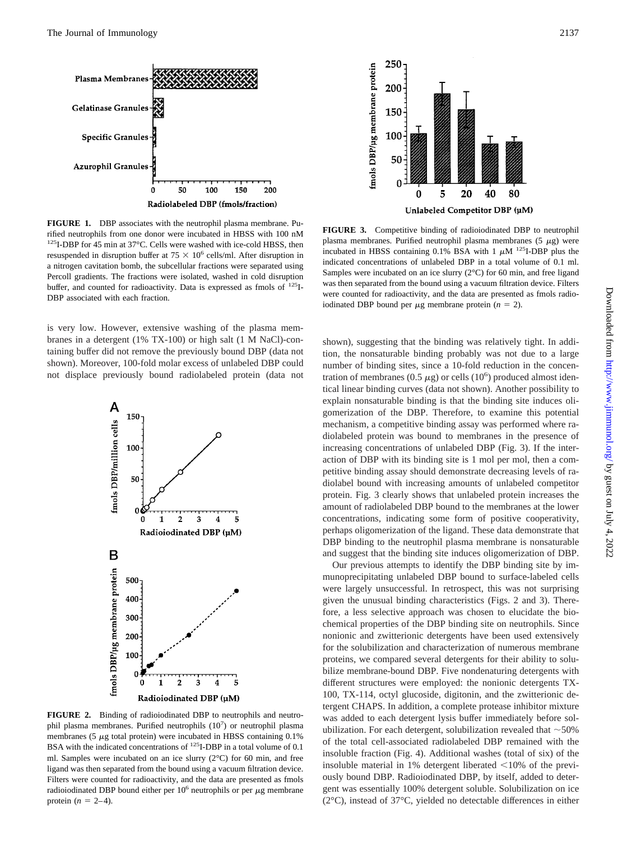

**FIGURE 1.** DBP associates with the neutrophil plasma membrane. Purified neutrophils from one donor were incubated in HBSS with 100 nM 125I-DBP for 45 min at 37°C. Cells were washed with ice-cold HBSS, then resuspended in disruption buffer at  $75 \times 10^6$  cells/ml. After disruption in a nitrogen cavitation bomb, the subcellular fractions were separated using Percoll gradients. The fractions were isolated, washed in cold disruption buffer, and counted for radioactivity. Data is expressed as fmols of <sup>125</sup>I-DBP associated with each fraction.

is very low. However, extensive washing of the plasma membranes in a detergent (1% TX-100) or high salt (1 M NaCl)-containing buffer did not remove the previously bound DBP (data not shown). Moreover, 100-fold molar excess of unlabeled DBP could not displace previously bound radiolabeled protein (data not



**FIGURE 2.** Binding of radioiodinated DBP to neutrophils and neutrophil plasma membranes. Purified neutrophils  $(10^7)$  or neutrophil plasma membranes (5  $\mu$ g total protein) were incubated in HBSS containing 0.1% BSA with the indicated concentrations of <sup>125</sup>I-DBP in a total volume of 0.1 ml. Samples were incubated on an ice slurry (2°C) for 60 min, and free ligand was then separated from the bound using a vacuum filtration device. Filters were counted for radioactivity, and the data are presented as fmols radioiodinated DBP bound either per  $10<sup>6</sup>$  neutrophils or per  $\mu$ g membrane protein  $(n = 2-4)$ .



**FIGURE 3.** Competitive binding of radioiodinated DBP to neutrophil plasma membranes. Purified neutrophil plasma membranes (5  $\mu$ g) were incubated in HBSS containing 0.1% BSA with 1  $\mu$ M <sup>125</sup>I-DBP plus the indicated concentrations of unlabeled DBP in a total volume of 0.1 ml. Samples were incubated on an ice slurry (2°C) for 60 min, and free ligand was then separated from the bound using a vacuum filtration device. Filters were counted for radioactivity, and the data are presented as fmols radioiodinated DBP bound per  $\mu$ g membrane protein ( $n = 2$ ).

shown), suggesting that the binding was relatively tight. In addition, the nonsaturable binding probably was not due to a large number of binding sites, since a 10-fold reduction in the concentration of membranes (0.5  $\mu$ g) or cells (10<sup>6</sup>) produced almost identical linear binding curves (data not shown). Another possibility to explain nonsaturable binding is that the binding site induces oligomerization of the DBP. Therefore, to examine this potential mechanism, a competitive binding assay was performed where radiolabeled protein was bound to membranes in the presence of increasing concentrations of unlabeled DBP (Fig. 3). If the interaction of DBP with its binding site is 1 mol per mol, then a competitive binding assay should demonstrate decreasing levels of radiolabel bound with increasing amounts of unlabeled competitor protein. Fig. 3 clearly shows that unlabeled protein increases the amount of radiolabeled DBP bound to the membranes at the lower concentrations, indicating some form of positive cooperativity, perhaps oligomerization of the ligand. These data demonstrate that DBP binding to the neutrophil plasma membrane is nonsaturable and suggest that the binding site induces oligomerization of DBP.

Our previous attempts to identify the DBP binding site by immunoprecipitating unlabeled DBP bound to surface-labeled cells were largely unsuccessful. In retrospect, this was not surprising given the unusual binding characteristics (Figs. 2 and 3). Therefore, a less selective approach was chosen to elucidate the biochemical properties of the DBP binding site on neutrophils. Since nonionic and zwitterionic detergents have been used extensively for the solubilization and characterization of numerous membrane proteins, we compared several detergents for their ability to solubilize membrane-bound DBP. Five nondenaturing detergents with different structures were employed: the nonionic detergents TX-100, TX-114, octyl glucoside, digitonin, and the zwitterionic detergent CHAPS. In addition, a complete protease inhibitor mixture was added to each detergent lysis buffer immediately before solubilization. For each detergent, solubilization revealed that  $\sim$  50% of the total cell-associated radiolabeled DBP remained with the insoluble fraction (Fig. 4). Additional washes (total of six) of the insoluble material in 1% detergent liberated  $\leq$ 10% of the previously bound DBP. Radioiodinated DBP, by itself, added to detergent was essentially 100% detergent soluble. Solubilization on ice (2°C), instead of 37°C, yielded no detectable differences in either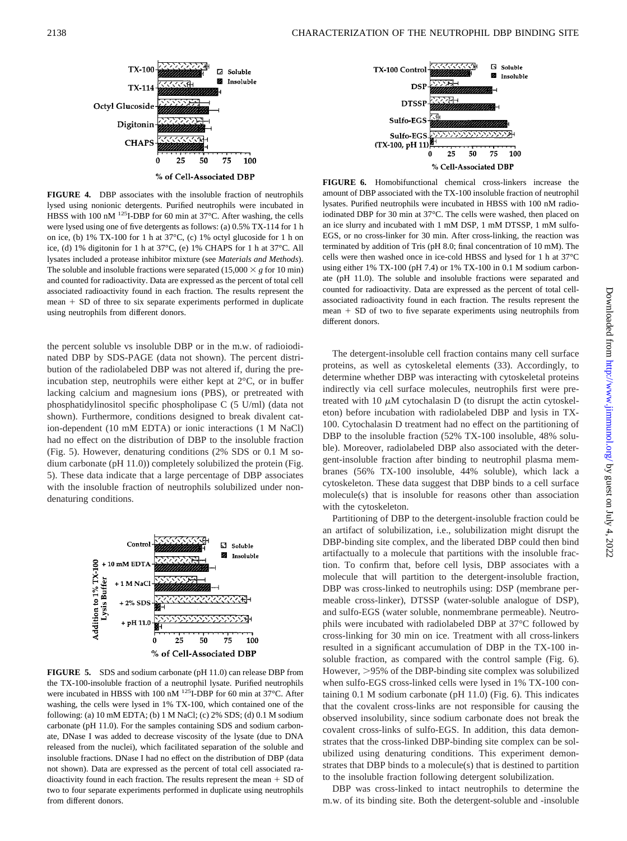

**FIGURE 4.** DBP associates with the insoluble fraction of neutrophils lysed using nonionic detergents. Purified neutrophils were incubated in HBSS with 100 nM <sup>125</sup>I-DBP for 60 min at 37°C. After washing, the cells were lysed using one of five detergents as follows: (a) 0.5% TX-114 for 1 h on ice, (b) 1% TX-100 for 1 h at 37°C, (c) 1% octyl glucoside for 1 h on ice, (d) 1% digitonin for 1 h at 37°C, (e) 1% CHAPS for 1 h at 37°C. All lysates included a protease inhibitor mixture (see *Materials and Methods*). The soluble and insoluble fractions were separated  $(15,000 \times g$  for 10 min) and counted for radioactivity. Data are expressed as the percent of total cell associated radioactivity found in each fraction. The results represent the  $mean + SD$  of three to six separate experiments performed in duplicate using neutrophils from different donors.

the percent soluble vs insoluble DBP or in the m.w. of radioiodinated DBP by SDS-PAGE (data not shown). The percent distribution of the radiolabeled DBP was not altered if, during the preincubation step, neutrophils were either kept at 2°C, or in buffer lacking calcium and magnesium ions (PBS), or pretreated with phosphatidylinositol specific phospholipase C (5 U/ml) (data not shown). Furthermore, conditions designed to break divalent cation-dependent (10 mM EDTA) or ionic interactions (1 M NaCl) had no effect on the distribution of DBP to the insoluble fraction (Fig. 5). However, denaturing conditions (2% SDS or 0.1 M sodium carbonate (pH 11.0)) completely solubilized the protein (Fig. 5). These data indicate that a large percentage of DBP associates with the insoluble fraction of neutrophils solubilized under nondenaturing conditions.



**FIGURE 5.** SDS and sodium carbonate (pH 11.0) can release DBP from the TX-100-insoluble fraction of a neutrophil lysate. Purified neutrophils were incubated in HBSS with 100 nM <sup>125</sup>I-DBP for 60 min at 37°C. After washing, the cells were lysed in 1% TX-100, which contained one of the following: (a) 10 mM EDTA; (b) 1 M NaCl; (c) 2% SDS; (d) 0.1 M sodium carbonate (pH 11.0). For the samples containing SDS and sodium carbonate, DNase I was added to decrease viscosity of the lysate (due to DNA released from the nuclei), which facilitated separation of the soluble and insoluble fractions. DNase I had no effect on the distribution of DBP (data not shown). Data are expressed as the percent of total cell associated radioactivity found in each fraction. The results represent the mean  $+$  SD of two to four separate experiments performed in duplicate using neutrophils from different donors.



**FIGURE 6.** Homobifunctional chemical cross-linkers increase the amount of DBP associated with the TX-100 insoluble fraction of neutrophil lysates. Purified neutrophils were incubated in HBSS with 100 nM radioiodinated DBP for 30 min at 37°C. The cells were washed, then placed on an ice slurry and incubated with 1 mM DSP, 1 mM DTSSP, 1 mM sulfo-EGS, or no cross-linker for 30 min. After cross-linking, the reaction was terminated by addition of Tris (pH 8.0; final concentration of 10 mM). The cells were then washed once in ice-cold HBSS and lysed for 1 h at 37°C using either 1% TX-100 (pH 7.4) or 1% TX-100 in 0.1 M sodium carbonate (pH 11.0). The soluble and insoluble fractions were separated and counted for radioactivity. Data are expressed as the percent of total cellassociated radioactivity found in each fraction. The results represent the mean  $+$  SD of two to five separate experiments using neutrophils from different donors.

The detergent-insoluble cell fraction contains many cell surface proteins, as well as cytoskeletal elements (33). Accordingly, to determine whether DBP was interacting with cytoskeletal proteins indirectly via cell surface molecules, neutrophils first were pretreated with 10  $\mu$ M cytochalasin D (to disrupt the actin cytoskeleton) before incubation with radiolabeled DBP and lysis in TX-100. Cytochalasin D treatment had no effect on the partitioning of DBP to the insoluble fraction (52% TX-100 insoluble, 48% soluble). Moreover, radiolabeled DBP also associated with the detergent-insoluble fraction after binding to neutrophil plasma membranes (56% TX-100 insoluble, 44% soluble), which lack a cytoskeleton. These data suggest that DBP binds to a cell surface molecule(s) that is insoluble for reasons other than association with the cytoskeleton.

Partitioning of DBP to the detergent-insoluble fraction could be an artifact of solubilization, i.e., solubilization might disrupt the DBP-binding site complex, and the liberated DBP could then bind artifactually to a molecule that partitions with the insoluble fraction. To confirm that, before cell lysis, DBP associates with a molecule that will partition to the detergent-insoluble fraction, DBP was cross-linked to neutrophils using: DSP (membrane permeable cross-linker), DTSSP (water-soluble analogue of DSP), and sulfo-EGS (water soluble, nonmembrane permeable). Neutrophils were incubated with radiolabeled DBP at 37°C followed by cross-linking for 30 min on ice. Treatment with all cross-linkers resulted in a significant accumulation of DBP in the TX-100 insoluble fraction, as compared with the control sample (Fig. 6). However, >95% of the DBP-binding site complex was solubilized when sulfo-EGS cross-linked cells were lysed in 1% TX-100 containing 0.1 M sodium carbonate (pH 11.0) (Fig. 6). This indicates that the covalent cross-links are not responsible for causing the observed insolubility, since sodium carbonate does not break the covalent cross-links of sulfo-EGS. In addition, this data demonstrates that the cross-linked DBP-binding site complex can be solubilized using denaturing conditions. This experiment demonstrates that DBP binds to a molecule(s) that is destined to partition to the insoluble fraction following detergent solubilization.

DBP was cross-linked to intact neutrophils to determine the m.w. of its binding site. Both the detergent-soluble and -insoluble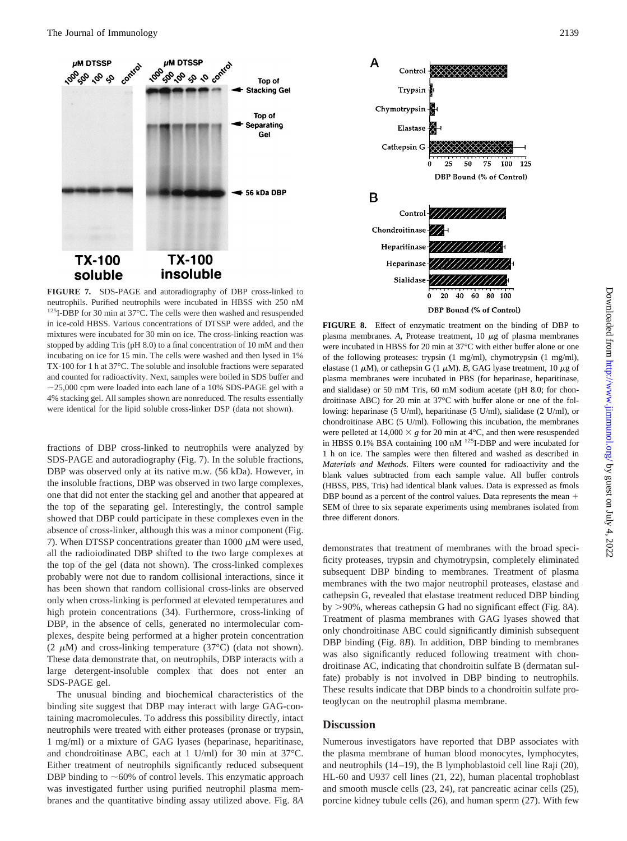

neutrophils. Purified neutrophils were incubated in HBSS with 250 nM 125I-DBP for 30 min at 37°C. The cells were then washed and resuspended in ice-cold HBSS. Various concentrations of DTSSP were added, and the mixtures were incubated for 30 min on ice. The cross-linking reaction was stopped by adding Tris (pH 8.0) to a final concentration of 10 mM and then incubating on ice for 15 min. The cells were washed and then lysed in 1% TX-100 for 1 h at 37°C. The soluble and insoluble fractions were separated and counted for radioactivity. Next, samples were boiled in SDS buffer and  $\sim$ 25,000 cpm were loaded into each lane of a 10% SDS-PAGE gel with a 4% stacking gel. All samples shown are nonreduced. The results essentially were identical for the lipid soluble cross-linker DSP (data not shown).

fractions of DBP cross-linked to neutrophils were analyzed by SDS-PAGE and autoradiography (Fig. 7). In the soluble fractions, DBP was observed only at its native m.w. (56 kDa). However, in the insoluble fractions, DBP was observed in two large complexes, one that did not enter the stacking gel and another that appeared at the top of the separating gel. Interestingly, the control sample showed that DBP could participate in these complexes even in the absence of cross-linker, although this was a minor component (Fig. 7). When DTSSP concentrations greater than 1000  $\mu$ M were used, all the radioiodinated DBP shifted to the two large complexes at the top of the gel (data not shown). The cross-linked complexes probably were not due to random collisional interactions, since it has been shown that random collisional cross-links are observed only when cross-linking is performed at elevated temperatures and high protein concentrations (34). Furthermore, cross-linking of DBP, in the absence of cells, generated no intermolecular complexes, despite being performed at a higher protein concentration (2  $\mu$ M) and cross-linking temperature (37°C) (data not shown). These data demonstrate that, on neutrophils, DBP interacts with a large detergent-insoluble complex that does not enter an SDS-PAGE gel.

The unusual binding and biochemical characteristics of the binding site suggest that DBP may interact with large GAG-containing macromolecules. To address this possibility directly, intact neutrophils were treated with either proteases (pronase or trypsin, 1 mg/ml) or a mixture of GAG lyases (heparinase, heparitinase, and chondroitinase ABC, each at 1 U/ml) for 30 min at 37°C. Either treatment of neutrophils significantly reduced subsequent DBP binding to  $~60\%$  of control levels. This enzymatic approach was investigated further using purified neutrophil plasma membranes and the quantitative binding assay utilized above. Fig. 8*A*



**FIGURE 8.** Effect of enzymatic treatment on the binding of DBP to plasma membranes.  $A$ , Protease treatment,  $10 \mu g$  of plasma membranes were incubated in HBSS for 20 min at 37°C with either buffer alone or one of the following proteases: trypsin (1 mg/ml), chymotrypsin (1 mg/ml), elastase (1  $\mu$ M), or cathepsin G (1  $\mu$ M). *B*, GAG lyase treatment, 10  $\mu$ g of plasma membranes were incubated in PBS (for heparinase, heparitinase, and sialidase) or 50 mM Tris, 60 mM sodium acetate (pH 8.0; for chondroitinase ABC) for 20 min at 37°C with buffer alone or one of the following: heparinase (5 U/ml), heparitinase (5 U/ml), sialidase (2 U/ml), or chondroitinase ABC (5 U/ml). Following this incubation, the membranes were pelleted at  $14,000 \times g$  for 20 min at 4<sup>o</sup>C, and then were resuspended in HBSS 0.1% BSA containing 100 nM <sup>125</sup>I-DBP and were incubated for 1 h on ice. The samples were then filtered and washed as described in *Materials and Methods*. Filters were counted for radioactivity and the blank values subtracted from each sample value. All buffer controls (HBSS, PBS, Tris) had identical blank values. Data is expressed as fmols DBP bound as a percent of the control values. Data represents the mean  $+$ SEM of three to six separate experiments using membranes isolated from three different donors.

demonstrates that treatment of membranes with the broad specificity proteases, trypsin and chymotrypsin, completely eliminated subsequent DBP binding to membranes. Treatment of plasma membranes with the two major neutrophil proteases, elastase and cathepsin G, revealed that elastase treatment reduced DBP binding by .90%, whereas cathepsin G had no significant effect (Fig. 8*A*). Treatment of plasma membranes with GAG lyases showed that only chondroitinase ABC could significantly diminish subsequent DBP binding (Fig. 8*B*). In addition, DBP binding to membranes was also significantly reduced following treatment with chondroitinase AC, indicating that chondroitin sulfate B (dermatan sulfate) probably is not involved in DBP binding to neutrophils. These results indicate that DBP binds to a chondroitin sulfate proteoglycan on the neutrophil plasma membrane.

# **Discussion**

Numerous investigators have reported that DBP associates with the plasma membrane of human blood monocytes, lymphocytes, and neutrophils (14–19), the B lymphoblastoid cell line Raji (20), HL-60 and U937 cell lines (21, 22), human placental trophoblast and smooth muscle cells (23, 24), rat pancreatic acinar cells (25), porcine kidney tubule cells (26), and human sperm (27). With few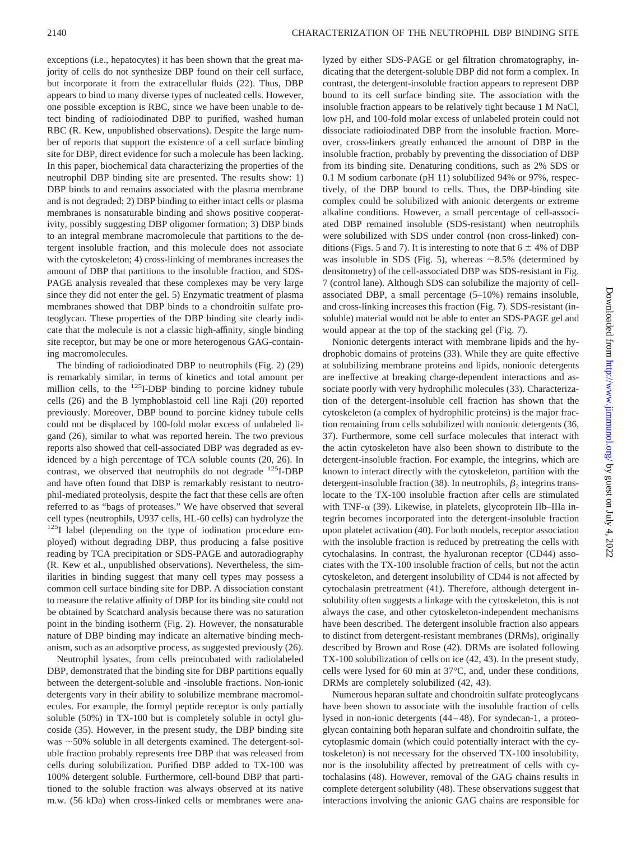exceptions (i.e., hepatocytes) it has been shown that the great majority of cells do not synthesize DBP found on their cell surface, but incorporate it from the extracellular fluids (22). Thus, DBP appears to bind to many diverse types of nucleated cells. However, one possible exception is RBC, since we have been unable to detect binding of radioiodinated DBP to purified, washed human RBC (R. Kew, unpublished observations). Despite the large number of reports that support the existence of a cell surface binding site for DBP, direct evidence for such a molecule has been lacking. In this paper, biochemical data characterizing the properties of the neutrophil DBP binding site are presented. The results show: 1) DBP binds to and remains associated with the plasma membrane and is not degraded; 2) DBP binding to either intact cells or plasma membranes is nonsaturable binding and shows positive cooperativity, possibly suggesting DBP oligomer formation; 3) DBP binds to an integral membrane macromolecule that partitions to the detergent insoluble fraction, and this molecule does not associate with the cytoskeleton; 4) cross-linking of membranes increases the amount of DBP that partitions to the insoluble fraction, and SDS-PAGE analysis revealed that these complexes may be very large since they did not enter the gel. 5) Enzymatic treatment of plasma membranes showed that DBP binds to a chondroitin sulfate proteoglycan. These properties of the DBP binding site clearly indicate that the molecule is not a classic high-affinity, single binding site receptor, but may be one or more heterogenous GAG-containing macromolecules.

The binding of radioiodinated DBP to neutrophils (Fig. 2) (29) is remarkably similar, in terms of kinetics and total amount per million cells, to the <sup>125</sup>I-DBP binding to porcine kidney tubule cells (26) and the B lymphoblastoid cell line Raji (20) reported previously. Moreover, DBP bound to porcine kidney tubule cells could not be displaced by 100-fold molar excess of unlabeled ligand (26), similar to what was reported herein. The two previous reports also showed that cell-associated DBP was degraded as evidenced by a high percentage of TCA soluble counts (20, 26). In contrast, we observed that neutrophils do not degrade  $^{125}I\text{-}DBP$ and have often found that DBP is remarkably resistant to neutrophil-mediated proteolysis, despite the fact that these cells are often referred to as "bags of proteases." We have observed that several cell types (neutrophils, U937 cells, HL-60 cells) can hydrolyze the <sup>125</sup>I label (depending on the type of iodination procedure employed) without degrading DBP, thus producing a false positive reading by TCA precipitation or SDS-PAGE and autoradiography (R. Kew et al., unpublished observations). Nevertheless, the similarities in binding suggest that many cell types may possess a common cell surface binding site for DBP. A dissociation constant to measure the relative affinity of DBP for its binding site could not be obtained by Scatchard analysis because there was no saturation point in the binding isotherm (Fig. 2). However, the nonsaturable nature of DBP binding may indicate an alternative binding mechanism, such as an adsorptive process, as suggested previously (26).

Neutrophil lysates, from cells preincubated with radiolabeled DBP, demonstrated that the binding site for DBP partitions equally between the detergent-soluble and -insoluble fractions. Non-ionic detergents vary in their ability to solubilize membrane macromolecules. For example, the formyl peptide receptor is only partially soluble (50%) in TX-100 but is completely soluble in octyl glucoside (35). However, in the present study, the DBP binding site was  $\sim$  50% soluble in all detergents examined. The detergent-soluble fraction probably represents free DBP that was released from cells during solubilization. Purified DBP added to TX-100 was 100% detergent soluble. Furthermore, cell-bound DBP that partitioned to the soluble fraction was always observed at its native m.w. (56 kDa) when cross-linked cells or membranes were analyzed by either SDS-PAGE or gel filtration chromatography, indicating that the detergent-soluble DBP did not form a complex. In contrast, the detergent-insoluble fraction appears to represent DBP bound to its cell surface binding site. The association with the insoluble fraction appears to be relatively tight because 1 M NaCl, low pH, and 100-fold molar excess of unlabeled protein could not dissociate radioiodinated DBP from the insoluble fraction. Moreover, cross-linkers greatly enhanced the amount of DBP in the insoluble fraction, probably by preventing the dissociation of DBP from its binding site. Denaturing conditions, such as 2% SDS or 0.1 M sodium carbonate (pH 11) solubilized 94% or 97%, respectively, of the DBP bound to cells. Thus, the DBP-binding site complex could be solubilized with anionic detergents or extreme alkaline conditions. However, a small percentage of cell-associated DBP remained insoluble (SDS-resistant) when neutrophils were solubilized with SDS under control (non cross-linked) conditions (Figs. 5 and 7). It is interesting to note that  $6 \pm 4\%$  of DBP was insoluble in SDS (Fig. 5), whereas  $\sim$ 8.5% (determined by densitometry) of the cell-associated DBP was SDS-resistant in Fig. 7 (control lane). Although SDS can solubilize the majority of cellassociated DBP, a small percentage (5–10%) remains insoluble, and cross-linking increases this fraction (Fig. 7). SDS-resistant (insoluble) material would not be able to enter an SDS-PAGE gel and would appear at the top of the stacking gel (Fig. 7).

Nonionic detergents interact with membrane lipids and the hydrophobic domains of proteins (33). While they are quite effective at solubilizing membrane proteins and lipids, nonionic detergents are ineffective at breaking charge-dependent interactions and associate poorly with very hydrophilic molecules (33). Characterization of the detergent-insoluble cell fraction has shown that the cytoskeleton (a complex of hydrophilic proteins) is the major fraction remaining from cells solubilized with nonionic detergents (36, 37). Furthermore, some cell surface molecules that interact with the actin cytoskeleton have also been shown to distribute to the detergent-insoluble fraction. For example, the integrins, which are known to interact directly with the cytoskeleton, partition with the detergent-insoluble fraction (38). In neutrophils,  $\beta_2$  integrins translocate to the TX-100 insoluble fraction after cells are stimulated with TNF- $\alpha$  (39). Likewise, in platelets, glycoprotein IIb–IIIa integrin becomes incorporated into the detergent-insoluble fraction upon platelet activation (40). For both models, receptor association with the insoluble fraction is reduced by pretreating the cells with cytochalasins. In contrast, the hyaluronan receptor (CD44) associates with the TX-100 insoluble fraction of cells, but not the actin cytoskeleton, and detergent insolubility of CD44 is not affected by cytochalasin pretreatment (41). Therefore, although detergent insolubility often suggests a linkage with the cytoskeleton, this is not always the case, and other cytoskeleton-independent mechanisms have been described. The detergent insoluble fraction also appears to distinct from detergent-resistant membranes (DRMs), originally described by Brown and Rose (42). DRMs are isolated following TX-100 solubilization of cells on ice (42, 43). In the present study, cells were lysed for 60 min at 37°C, and, under these conditions, DRMs are completely solubilized (42, 43).

Numerous heparan sulfate and chondroitin sulfate proteoglycans have been shown to associate with the insoluble fraction of cells lysed in non-ionic detergents (44–48). For syndecan-1, a proteoglycan containing both heparan sulfate and chondroitin sulfate, the cytoplasmic domain (which could potentially interact with the cytoskeleton) is not necessary for the observed TX-100 insolubility, nor is the insolubility affected by pretreatment of cells with cytochalasins (48). However, removal of the GAG chains results in complete detergent solubility (48). These observations suggest that interactions involving the anionic GAG chains are responsible for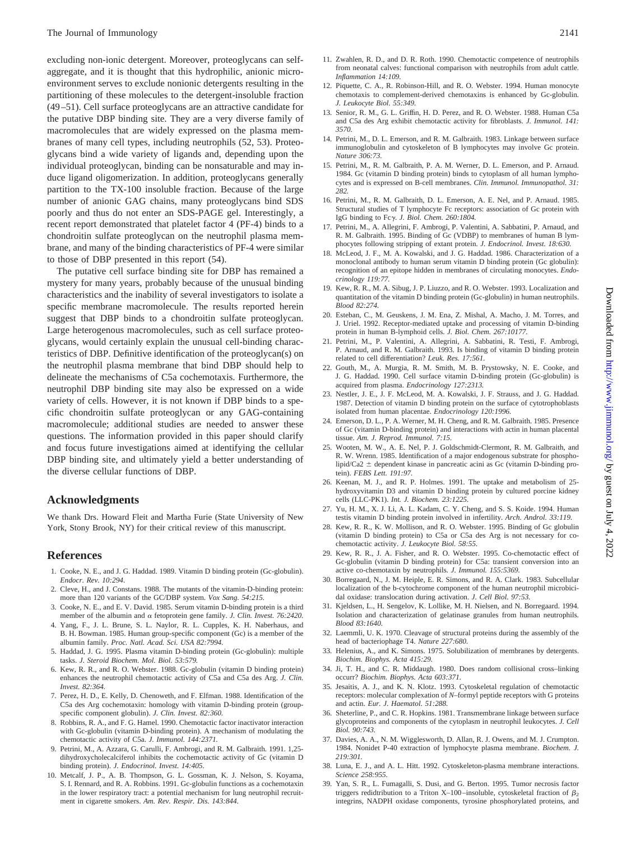excluding non-ionic detergent. Moreover, proteoglycans can selfaggregate, and it is thought that this hydrophilic, anionic microenvironment serves to exclude nonionic detergents resulting in the partitioning of these molecules to the detergent-insoluble fraction (49–51). Cell surface proteoglycans are an attractive candidate for the putative DBP binding site. They are a very diverse family of macromolecules that are widely expressed on the plasma membranes of many cell types, including neutrophils (52, 53). Proteoglycans bind a wide variety of ligands and, depending upon the individual proteoglycan, binding can be nonsaturable and may induce ligand oligomerization. In addition, proteoglycans generally partition to the TX-100 insoluble fraction. Because of the large number of anionic GAG chains, many proteoglycans bind SDS poorly and thus do not enter an SDS-PAGE gel. Interestingly, a recent report demonstrated that platelet factor 4 (PF-4) binds to a chondroitin sulfate proteoglycan on the neutrophil plasma membrane, and many of the binding characteristics of PF-4 were similar to those of DBP presented in this report (54).

The putative cell surface binding site for DBP has remained a mystery for many years, probably because of the unusual binding characteristics and the inability of several investigators to isolate a specific membrane macromolecule. The results reported herein suggest that DBP binds to a chondroitin sulfate proteoglycan. Large heterogenous macromolecules, such as cell surface proteoglycans, would certainly explain the unusual cell-binding characteristics of DBP. Definitive identification of the proteoglycan(s) on the neutrophil plasma membrane that bind DBP should help to delineate the mechanisms of C5a cochemotaxis. Furthermore, the neutrophil DBP binding site may also be expressed on a wide variety of cells. However, it is not known if DBP binds to a specific chondroitin sulfate proteoglycan or any GAG-containing macromolecule; additional studies are needed to answer these questions. The information provided in this paper should clarify and focus future investigations aimed at identifying the cellular DBP binding site, and ultimately yield a better understanding of the diverse cellular functions of DBP.

# **Acknowledgments**

We thank Drs. Howard Fleit and Martha Furie (State University of New York, Stony Brook, NY) for their critical review of this manuscript.

### **References**

- 1. Cooke, N. E., and J. G. Haddad. 1989. Vitamin D binding protein (Gc-globulin). *Endocr. Rev. 10:294*.
- 2. Cleve, H., and J. Constans. 1988. The mutants of the vitamin-D-binding protein: more than 120 variants of the GC/DBP system. *Vox Sang. 54:215.*
- 3. Cooke, N. E., and E. V. David. 1985. Serum vitamin D-binding protein is a third member of the albumin and  $\alpha$  fetoprotein gene family. *J. Clin. Invest.* 76:2420.
- 4. Yang, F., J. L. Brune, S. L. Naylor, R. L. Cupples, K. H. Naberhaus, and B. H. Bowman. 1985. Human group-specific component (Gc) is a member of the albumin family. *Proc. Natl. Acad. Sci. USA 82:7994.*
- 5. Haddad, J. G. 1995. Plasma vitamin D-binding protein (Gc-globulin): multiple tasks. *J. Steroid Biochem. Mol. Biol. 53:579.*
- 6. Kew, R. R., and R. O. Webster. 1988. Gc-globulin (vitamin D binding protein) enhances the neutrophil chemotactic activity of C5a and C5a des Arg. *J. Clin. Invest. 82:364.*
- 7. Perez, H. D., E. Kelly, D. Chenoweth, and F. Elfman. 1988. Identification of the C5a des Arg cochemotaxin: homology with vitamin D-binding protein (groupspecific component globulin). *J. Clin. Invest. 82:360.*
- Robbins, R. A., and F. G. Hamel. 1990. Chemotactic factor inactivator interaction with Gc-globulin (vitamin D-binding protein). A mechanism of modulating the chemotactic activity of C5a. *J. Immunol. 144:2371.*
- 9. Petrini, M., A. Azzara, G. Carulli, F. Ambrogi, and R. M. Galbraith. 1991. 1,25 dihydroxycholecalciferol inhibits the cochemotactic activity of Gc (vitamin D binding protein). *J. Endocrinol. Invest. 14:405.*
- 10. Metcalf, J. P., A. B. Thompson, G. L. Gossman, K. J. Nelson, S. Koyama, S. I. Rennard, and R. A. Robbins. 1991. Gc-globulin functions as a cochemotaxin in the lower respiratory tract: a potential mechanism for lung neutrophil recruitment in cigarette smokers. *Am. Rev. Respir. Dis. 143:844.*
- 11. Zwahlen, R. D., and D. R. Roth. 1990. Chemotactic competence of neutrophils from neonatal calves: functional comparison with neutrophils from adult cattle. *Inflammation 14:109.*
- 12. Piquette, C. A., R. Robinson-Hill, and R. O. Webster. 1994. Human monocyte chemotaxis to complement-derived chemotaxins is enhanced by Gc-globulin. *J. Leukocyte Biol. 55:349.*
- 13. Senior, R. M., G. L. Griffin, H. D. Perez, and R. O. Webster. 1988. Human C5a and C5a des Arg exhibit chemotactic activity for fibroblasts. *J. Immunol. 141: 3570.*
- 14. Petrini, M., D. L. Emerson, and R. M. Galbraith. 1983. Linkage between surface immunoglobulin and cytoskeleton of B lymphocytes may involve Gc protein. *Nature 306:73.*
- 15. Petrini, M., R. M. Galbraith, P. A. M. Werner, D. L. Emerson, and P. Arnaud. 1984. Gc (vitamin D binding protein) binds to cytoplasm of all human lymphocytes and is expressed on B-cell membranes. *Clin. Immunol. Immunopathol. 31: 282.*
- 16. Petrini, M., R. M. Galbraith, D. L. Emerson, A. E. Nel, and P. Arnaud. 1985. Structural studies of T lymphocyte Fc receptors: association of Gc protein with IgG binding to Fcg. *J. Biol. Chem. 260:1804.*
- 17. Petrini, M., A. Allegrini, F. Ambrogi, P. Valentini, A. Sabbatini, P. Arnaud, and R. M. Galbraith. 1995. Binding of Gc (VDBP) to membranes of human B lymphocytes following stripping of extant protein. *J. Endocrinol. Invest. 18:630.*
- 18. McLeod, J. F., M. A. Kowalski, and J. G. Haddad. 1986. Characterization of a monoclonal antibody to human serum vitamin D binding protein (Gc globulin): recognition of an epitope hidden in membranes of circulating monocytes. *Endocrinology 119:77.*
- 19. Kew, R. R., M. A. Sibug, J. P. Liuzzo, and R. O. Webster. 1993. Localization and quantitation of the vitamin D binding protein (Gc-globulin) in human neutrophils. *Blood 82:274.*
- 20. Esteban, C., M. Geuskens, J. M. Ena, Z. Mishal, A. Macho, J. M. Torres, and J. Uriel. 1992. Receptor-mediated uptake and processing of vitamin D-binding protein in human B-lymphoid cells. *J. Biol. Chem. 267:10177.*
- 21. Petrini, M., P. Valentini, A. Allegrini, A. Sabbatini, R. Testi, F. Ambrogi, P. Arnaud, and R. M. Galbraith. 1993. Is binding of vitamin D binding protein related to cell differentiation? *Leuk. Res. 17:561.*
- 22. Gouth, M., A. Murgia, R. M. Smith, M. B. Prystowsky, N. E. Cooke, and J. G. Haddad. 1990. Cell surface vitamin D-binding protein (Gc-globulin) is acquired from plasma. *Endocrinology 127:2313.*
- 23. Nestler, J. E., J. F. McLeod, M. A. Kowalski, J. F. Strauss, and J. G. Haddad. 1987. Detection of vitamin D binding protein on the surface of cytotrophoblasts isolated from human placentae. *Endocrinology 120:1996.*
- 24. Emerson, D. L., P. A. Werner, M. H. Cheng, and R. M. Galbraith. 1985. Presence of Gc (vitamin D-binding protein) and interactions with actin in human placental tissue. *Am. J. Reprod. Immunol. 7:15.*
- 25. Wooten, M. W., A. E. Nel, P. J. Goldschmidt-Clermont, R. M. Galbraith, and R. W. Wrenn. 1985. Identification of a major endogenous substrate for phospholipid/Ca2  $\pm$  dependent kinase in pancreatic acini as Gc (vitamin D-binding protein). *FEBS Lett. 191:97.*
- 26. Keenan, M. J., and R. P. Holmes. 1991. The uptake and metabolism of 25 hydroxyvitamin D3 and vitamin D binding protein by cultured porcine kidney cells (LLC-PK1). *Int. J. Biochem. 23:1225.*
- 27. Yu, H. M., X. J. Li, A. L. Kadam, C. Y. Cheng, and S. S. Koide. 1994. Human testis vitamin D binding protein involved in infertility. *Arch. Androl. 33:119.*
- 28. Kew, R. R., K. W. Mollison, and R. O. Webster. 1995. Binding of Gc globulin (vitamin D binding protein) to C5a or C5a des Arg is not necessary for cochemotactic activity. *J. Leukocyte Biol. 58:55.*
- 29. Kew, R. R., J. A. Fisher, and R. O. Webster. 1995. Co-chemotactic effect of Gc-globulin (vitamin D binding protein) for C5a: transient conversion into an active co-chemotaxin by neutrophils*. J. Immunol. 155:5369.*
- 30. Borregaard, N., J. M. Heiple, E. R. Simons, and R. A. Clark. 1983. Subcellular localization of the b-cytochrome component of the human neutrophil microbicidal oxidase: translocation during activation. *J. Cell Biol. 97:53.*
- 31. Kjeldsen, L., H. Sengelov, K. Lollike, M. H. Nielsen, and N. Borregaard. 1994. Isolation and characterization of gelatinase granules from human neutrophils. *Blood 83:1640.*
- 32. Laemmli, U. K. 1970. Cleavage of structural proteins during the assembly of the head of bacteriophage T4. *Nature 227:680.*
- 33. Helenius, A., and K. Simons. 1975. Solubilization of membranes by detergents. *Biochim. Biophys. Acta 415:29.*
- 34. Ji, T. H., and C. R. Middaugh. 1980. Does random collisional cross–linking occurr? *Biochim. Biophys. Acta 603:371.*
- 35. Jesaitis, A. J., and K. N. Klotz. 1993. Cytoskeletal regulation of chemotactic receptors: molecular complexation of *N*–formyl peptide receptors with G proteins and actin. *Eur. J. Haematol. 51:288.*
- 36. Sheterline, P., and C. R. Hopkins. 1981. Transmembrane linkage between surface glycoproteins and components of the cytoplasm in neutrophil leukocytes. *J. Cell Biol. 90:743.*
- 37. Davies, A. A., N. M. Wigglesworth, D. Allan, R. J. Owens, and M. J. Crumpton. 1984. Nonidet P-40 extraction of lymphocyte plasma membrane. *Biochem. J. 219:301.*
- 38. Luna, E. J., and A. L. Hitt. 1992. Cytoskeleton-plasma membrane interactions. *Science 258:955.*
- 39. Yan, S. R., L. Fumagalli, S. Dusi, and G. Berton. 1995. Tumor necrosis factor triggers redidtribution to a Triton X–100–insoluble, cytoskeletal fraction of  $\beta_2$ integrins, NADPH oxidase components, tyrosine phosphorylated proteins, and